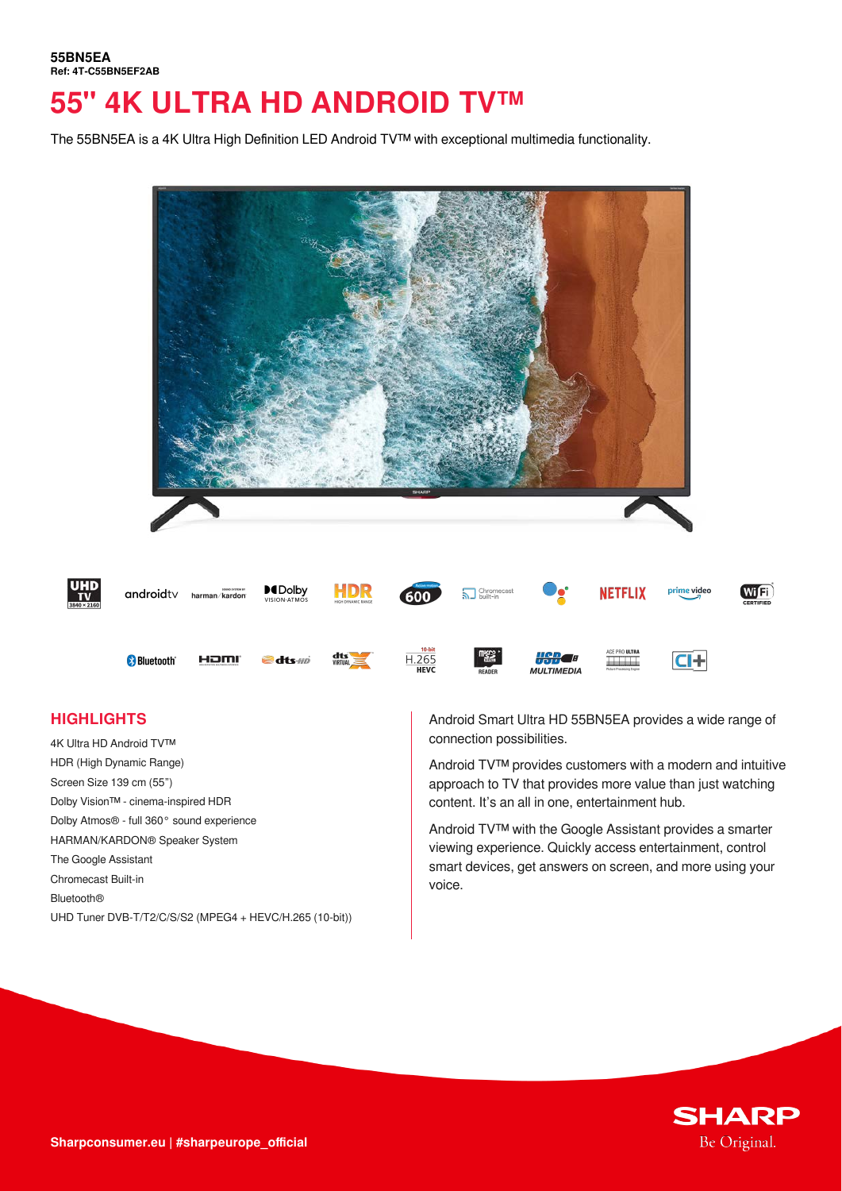The 55BN5EA is a 4K Ultra High Definition LED Android TV™ with exceptional multimedia functionality.



# **HIGHLIGHTS**

4K Ultra HD Android TV™ HDR (High Dynamic Range) Screen Size 139 cm (55") Dolby Vision™ - cinema-inspired HDR Dolby Atmos® - full 360° sound experience HARMAN/KARDON® Speaker System The Google Assistant Chromecast Built-in Bluetooth® UHD Tuner DVB-T/T2/C/S/S2 (MPEG4 + HEVC/H.265 (10-bit)) Android Smart Ultra HD 55BN5EA provides a wide range of connection possibilities.

Android TV™ provides customers with a modern and intuitive approach to TV that provides more value than just watching content. It's an all in one, entertainment hub.

Android TV™ with the Google Assistant provides a smarter viewing experience. Quickly access entertainment, control smart devices, get answers on screen, and more using your voice.